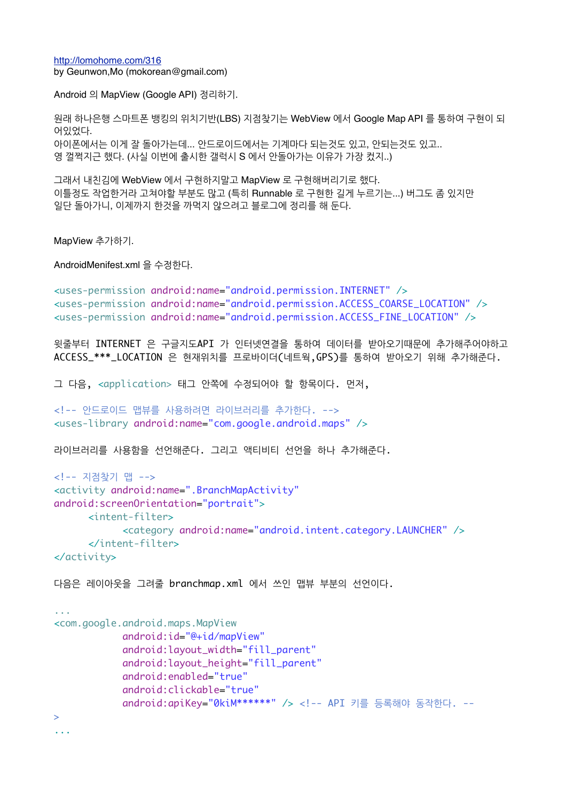<http://lomohome.com/316> by Geunwon,Mo (mokorean@gmail.com)

Android 의 MapView (Google API) 정리하기.

원래 하나은행 스마트폰 뱅킹의 위치기반(LBS) 지점찾기는 WebView 에서 Google Map API 를 통하여 구현이 되 어있었다. 아이폰에서는 이게 잘 돌아가는데... 안드로이드에서는 기계마다 되는것도 있고, 안되는것도 있고.. 영 껄쩍지근 했다. (사실 이번에 출시한 갤럭시 S 에서 안돌아가는 이유가 가장 컸지..)

그래서 내친김에 WebView 에서 구현하지말고 MapView 로 구현해버리기로 했다. 이틀정도 작업한거라 고쳐야할 부분도 많고 (특히 Runnable 로 구현한 길게 누르기는...) 버그도 좀 있지만 일단 돌아가니, 이제까지 한것을 까먹지 않으려고 블로그에 정리를 해 둔다.

MapView 추가하기.

AndroidMenifest.xml 을 수정한다.

```
<uses-permission android:name="android.permission.INTERNET" />
<uses-permission android:name="android.permission.ACCESS_COARSE_LOCATION" />
<uses-permission android:name="android.permission.ACCESS_FINE_LOCATION" />
```
윗줄부터 INTERNET 은 구글지도API 가 인터넷연결을 통하여 데이터를 받아오기때문에 추가해주어야하고 ACCESS\_\*\*\*\_LOCATION 은 현재위치를 프로바이더(네트웍,GPS)를 통하여 받아오기 위해 추가해준다.

그 다음, <application> 태그 안쪽에 수정되어야 할 항목이다. 먼저,

```
<!-- 안드로이드 맵뷰를 사용하려면 라이브러리를 추가한다. -->
<uses-library android:name="com.google.android.maps" />
```
라이브러리를 사용함을 선언해준다. 그리고 액티비티 선언을 하나 추가해준다.

```
<!-- 지점찾기 맵 -->
<activity android:name=".BranchMapActivity"
android:screenOrientation="portrait">
      <intent-filter>
            	 	 <category android:name="android.intent.category.LAUNCHER" />
      </intent-filter>
</activity>
```
다음은 레이아웃을 그려줄 branchmap.xml 에서 쓰인 맵뷰 부분의 선언이다.

```
...
<com.google.android.maps.MapView
             	 	 android:id="@+id/mapView"
             	 	 android:layout_width="fill_parent"
             	 	 android:layout_height="fill_parent"
             	 	 android:enabled="true"
             	 	 android:clickable="true"
             	 	 android:apiKey="0kiM******" /> <!-- API 키를 등록해야 동작한다. --
>
...
```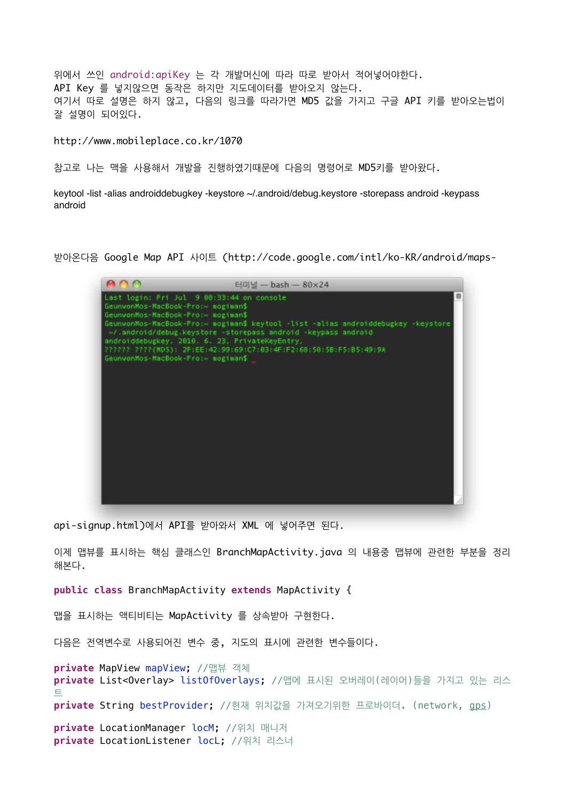위에서 쓰인 android:apiKey 는 각 개발머신에 따라 따로 받아서 적어넣어야한다. API Key 를 넣지않으면 동작은 하지만 지도데이터를 받아오지 않는다. 여기서 따로 설명은 하지 않고, 다음의 링크를 따라가면 MD5 값을 가지고 구글 API 키를 받아오는법이 잘 설명이 되어있다.

http://www.mobileplace.co.kr/1070

참고로 나는 맥을 사용해서 개발을 진행하였기때문에 다음의 명령어로 MD5키를 받아왔다.

keytool -list -alias androiddebugkey -keystore ~/.android/debug.keystore -storepass android -keypass android

받아온다음 Google Map API 사이트 (http://code.google.com/intl/ko-KR/android/maps-



api-signup.html)에서 API를 받아와서 XML 에 넣어주면 된다.

이제 맵뷰를 표시하는 핵심 클래스인 BranchMapActivity.java 의 내용중 맵뷰에 관련한 부분을 정리 해본다.

**public class** BranchMapActivity **extends** MapActivity {

맵을 표시하는 액티비티는 MapActivity 를 상속받아 구현한다.

다음은 전역변수로 사용되어진 변수 중, 지도의 표시에 관련한 변수들이다.

**private** MapView mapView; //맵뷰 객체 **private** List<Overlay> listOfOverlays; //맵에 표시된 오버레이(레이어)들을 가지고 있는 리스 트 **private** String bestProvider; //현재 위치값을 가져오기위한 프로바이더. (network, gps) **private** LocationManager locM; //위치 매니저 **private** LocationListener locL; //위치 리스너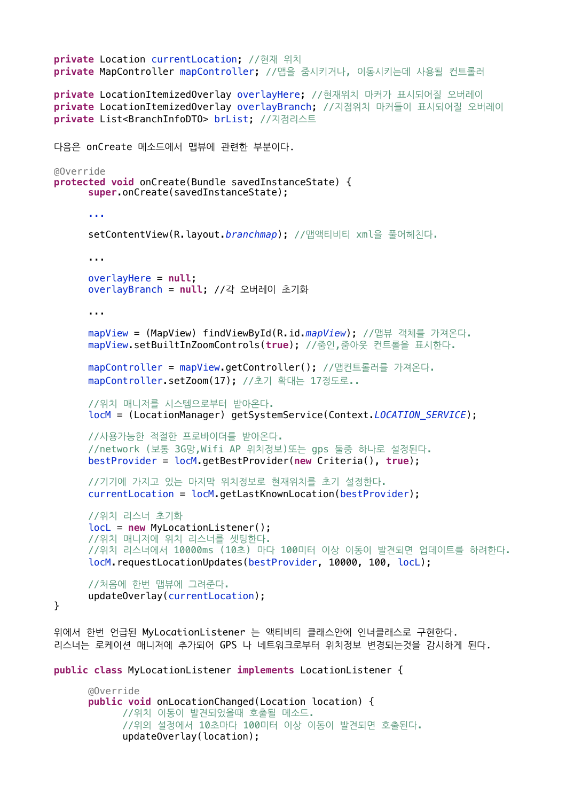```
private Location currentLocation; //현재 위치
private MapController mapController; //맵을 줌시키거나, 이동시키는데 사용될 컨트롤러
private LocationItemizedOverlay overlayHere; //현재위치 마커가 표시되어질 오버레이
private LocationItemizedOverlay overlayBranch; //지점위치 마커들이 표시되어질 오버레이
private List<BranchInfoDTO> brList; //지점리스트
다음은 onCreate 메소드에서 맵뷰에 관련한 부분이다.
@Override
protected void onCreate(Bundle savedInstanceState) {
     super.onCreate(savedInstanceState);
     ...
     setContentView(R.layout.branchmap); //맵액티비티 xml을 풀어헤친다.
     ...
     overlayHere = null;
     overlayBranch = null; //각 오버레이 초기화
     ...
     mapView = (MapView) findViewById(R.id.mapView); //맵뷰 객체를 가져온다.
     mapView.setBuiltInZoomControls(true); //줌인,줌아웃 컨트롤을 표시한다.
     mapController = mapView.getController(); //맵컨트롤러를 가져온다.
     mapController.setZoom(17); //초기 확대는 17정도로..
     //위치 매니저를 시스템으로부터 받아온다.
     locM = (LocationManager) getSystemService(Context.LOCATION_SERVICE);
     //사용가능한 적절한 프로바이더를 받아온다.
     //network (보통 3G망,Wifi AP 위치정보)또는 gps 둘중 하나로 설정된다.
     bestProvider = locM.getBestProvider(new Criteria(), true);
     //기기에 가지고 있는 마지막 위치정보로 현재위치를 초기 설정한다.
     currentLocation = locM.getLastKnownLocation(bestProvider);
     //위치 리스너 초기화
     locL = new MyLocationListener();
     //위치 매니저에 위치 리스너를 셋팅한다.
     //위치 리스너에서 10000ms (10초) 마다 100미터 이상 이동이 발견되면 업데이트를 하려한다.
     locM.requestLocationUpdates(bestProvider, 10000, 100, locL); 
     //처음에 한번 맵뷰에 그려준다.
     updateOverlay(currentLocation);
}
위에서 한번 언급된 MyLocationListener 는 액티비티 클래스안에 인너클래스로 구현한다.
리스너는 로케이션 매니저에 추가되어 GPS 나 네트워크로부터 위치정보 변경되는것을 감시하게 된다.
public class MyLocationListener implements LocationListener {
     @Override
     public void onLocationChanged(Location location) {
          //위치 이동이 발견되었을때 호출될 메소드.
          ! ! //위의 설정에서 10초마다 100미터 이상 이동이 발견되면 호출된다.
```
updateOverlay(location);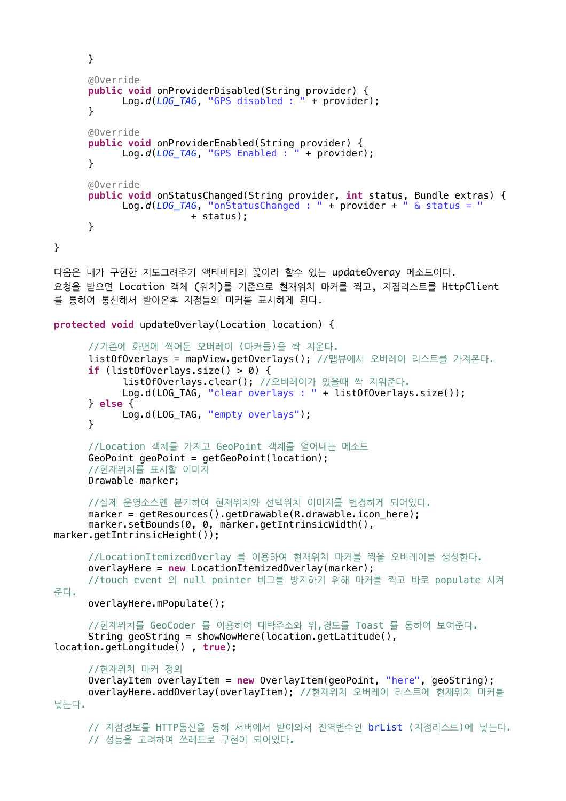```
}
@Override
public void onProviderDisabled(String provider) {
      Log.d(LOG_TAG, "GPS disabled : " + provider);
}
@Override
public void onProviderEnabled(String provider) {
      Log.d(LOG TAG, "GPS Enabled : " + provider);
}
@Override
public void onStatusChanged(String provider, int status, Bundle extras) {
      Log.d(LOG_TAG, "onStatusChanged : " + provider + " & status = "
                  + status):
}
```
}

다음은 내가 구현한 지도그려주기 액티비티의 꽃이라 할수 있는 updateOveray 메소드이다. 요청을 받으면 Location 객체 (위치)를 기준으로 현재위치 마커를 찍고, 지점리스트를 HttpClient 를 통하여 통신해서 받아온후 지점들의 마커를 표시하게 된다.

**protected void** updateOverlay(Location location) {

```
//기존에 화면에 찍어둔 오버레이 (마커들)을 싹 지운다.
     listOfOverlays = mapView.getOverlays(); //맵뷰에서 오버레이 리스트를 가져온다.
     if (listOfOverlays.size() > 0) {
           ! ! listOfOverlays.clear(); //오버레이가 있을때 싹 지워준다.
          Log.d(LOGTAG, "clear overlaps : " + listOfOverlays.size());} else {
          Log.d(LOG_TAG, "empty overlays");
     }
     //Location 객체를 가지고 GeoPoint 객체를 얻어내는 메소드
     GeoPoint geoPoint = getGeoPoint(location);
     //현재위치를 표시할 이미지
     Drawable marker;
     //실제 운영소스엔 분기하여 현재위치와 선택위치 이미지를 변경하게 되어있다.
     marker = getResources().getDrawable(R.drawable.icon_here);
     marker.setBounds(0, 0, marker.getIntrinsicWidth(), 
marker.getIntrinsicHeight());
     //LocationItemizedOverlay 를 이용하여 현재위치 마커를 찍을 오버레이를 생성한다.
     overlayHere = new LocationItemizedOverlay(marker);
     //touch event 의 null pointer 버그를 방지하기 위해 마커를 찍고 바로 populate 시켜
준다.
     overlayHere.mPopulate();
     //현재위치를 GeoCoder 를 이용하여 대략주소와 위,경도를 Toast 를 통하여 보여준다.
     String geoString = showNowHere(location.getLatitude(), 
location.getLongitude() , true);
     //현재위치 마커 정의
     OverlayItem overlayItem = new OverlayItem(geoPoint, "here", geoString);
     overlayHere.addOverlay(overlayItem); //현재위치 오버레이 리스트에 현재위치 마커를
넣는다.
     // 지점정보를 HTTP통신을 통해 서버에서 받아와서 전역변수인 brList (지점리스트)에 넣는다.
     // 성능을 고려하여 쓰레드로 구현이 되어있다.
```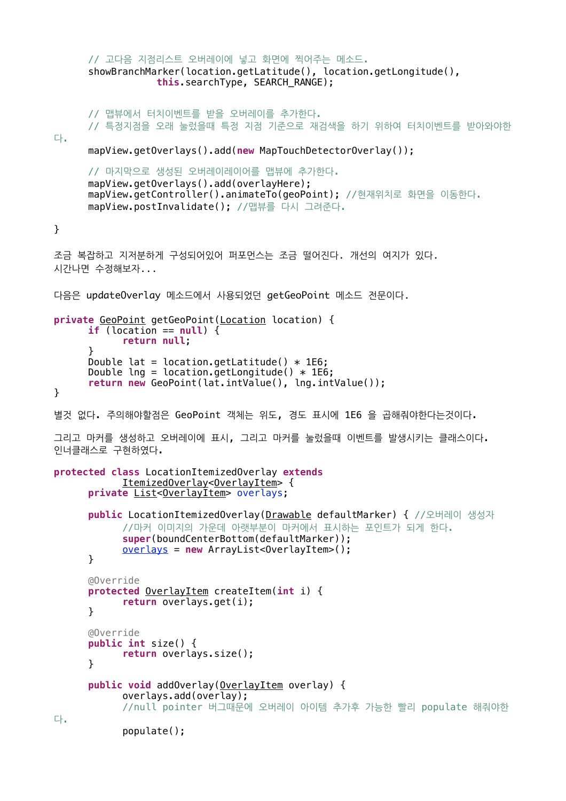```
// 고다음 지점리스트 오버레이에 넣고 화면에 찍어주는 메소드.
showBranchMarker(location.getLatitude(), location.getLongitude(),
           !!! this.searchType, SEARCH_RANGE);
```

```
// 맵뷰에서 터치이벤트를 받을 오버레이를 추가한다.
// 특정지점을 오래 눌렀을때 특정 지점 기준으로 재검색을 하기 위하여 터치이벤트를 받아와야한
```
다.

mapView.getOverlays().add(**new** MapTouchDetectorOverlay());

```
// 마지막으로 생성된 오버레이레이어를 맵뷰에 추가한다.
mapView.getOverlays().add(overlayHere);
mapView.getController().animateTo(geoPoint); //현재위치로 화면을 이동한다.
mapView.postInvalidate(); //맵뷰를 다시 그려준다.
```
}

조금 복잡하고 지저분하게 구성되어있어 퍼포먼스는 조금 떨어진다. 개선의 여지가 있다. 시간나면 수정해보자...

다음은 updateOverlay 메소드에서 사용되었던 getGeoPoint 메소드 전문이다.

```
private GeoPoint getGeoPoint(Location location) {
      if (location == null) {
            ! ! return null;
      }
      Double lat = location.getLatitude() * 1E6;
      Double lng = location.getLongitude() * 1E6;
      return new GeoPoint(lat.intValue(), lng.intValue());
}
```
별것 없다. 주의해야할점은 GeoPoint 객체는 위도, 경도 표시에 1E6 을 곱해줘야한다는것이다.

```
그리고 마커를 생성하고 오버레이에 표시, 그리고 마커를 눌렀을때 이벤트를 발생시키는 클래스이다.
인너클래스로 구현하였다.
```

```
protected class LocationItemizedOverlay extends
           ItemizedOverlay<OverlayItem> {
     private List<OverlayItem> overlays;
     public LocationItemizedOverlay(Drawable defaultMarker) { //오버레이 생성자
           //마커 이미지의 가운데 아랫부분이 마커에서 표시하는 포인트가 되게 하다.
           super(boundedCenterBottom(defaultMarker));overlays = new ArrayList<OverlayItem>();
     }
     @Override
     protected OverlayItem createItem(int i) {
           return overlays.get(i);
     }
     @Override
     public int size() {
           return overlays.size();
     }
     public void addOverlay(OverlayItem overlay) {
           overlays.add(overlay);
           ! ! //null pointer 버그때문에 오버레이 아이템 추가후 가능한 빨리 populate 해줘야한
다.
           populate();
```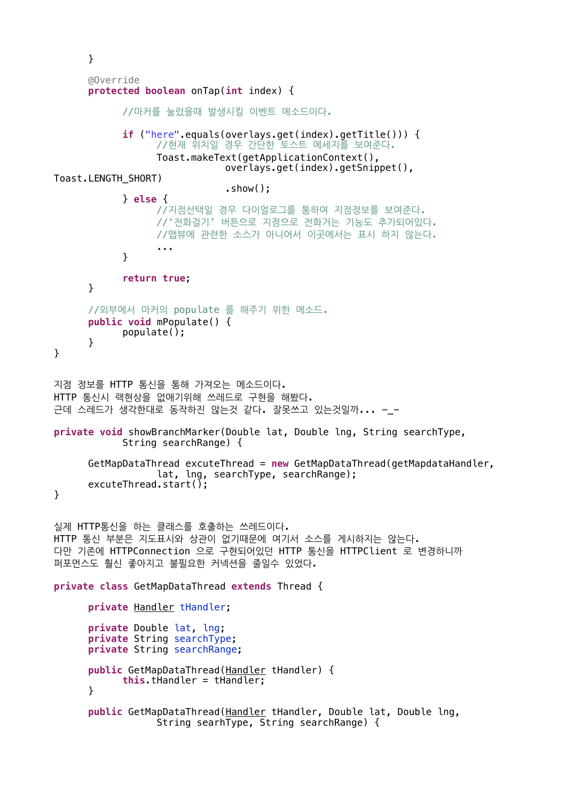```
}
     @Override
     protected boolean onTap(int index) {
          //마커를 눌렀을때 발생시킬 이벤트 메소드이다.
          if ("here".equals(overlays.get(index).getTitle())) {
               //현재 위치일 경우 간단한 토스트 메세지를 보여준다.
               Toast.makeText(getApplicationContext(),
                          overlays.get(index).getSnippet(),
Toast.LENGTH_SHORT)
                          .show():
          ! ! } else {
               //지점선택일 경우 다이얼로그를 통하여 지점정보를 보여준다.
               //'전화걸기' 버튼으로 지점으로 전화거는 기능도 추가되어있다.
               //맵뷰에 관련한 소스가 아니어서 이곳에서는 표시 하지 않는다.
!!! ...
! }
          ! ! return true;
     }
     //외부에서 마커의 populate 를 해주기 위한 메소드.
     public void mPopulate() {
          populate();
     }
}
지점 정보를 HTTP 통신을 통해 가져오는 메소드이다.
HTTP 통신시 랙현상을 없애기위해 쓰레드로 구현을 해봤다.
근데 스레드가 생각한대로 동작하진 않는것 같다. 잘못쓰고 있는것일까... -_-
private void showBranchMarker(Double lat, Double lng, String searchType,
          String searchRange) {
     GetMapDataThread excuteThread = new GetMapDataThread(getMapdataHandler,
               lat, lng, searchType, searchRange);
     excuteThread.start();
}
실제 HTTP통신을 하는 클래스를 호출하는 쓰레드이다.
HTTP 통신 부분은 지도표시와 상관이 없기때문에 여기서 소스를 게시하지는 않는다.
다만 기존에 HTTPConnection 으로 구현되어있던 HTTP 통신을 HTTPClient 로 변경하니까
```
**private class** GetMapDataThread **extends** Thread { **private** Handler tHandler; **private** Double lat, lng; **private** String searchType; **private** String searchRange; **public** GetMapDataThread(Handler tHandler) { ! ! **this**.tHandler = tHandler; } **public** GetMapDataThread(Handler tHandler, Double lat, Double lng, String searhType, String searchRange) {

퍼포먼스도 훨신 좋아지고 불필요한 커넥션을 줄일수 있었다.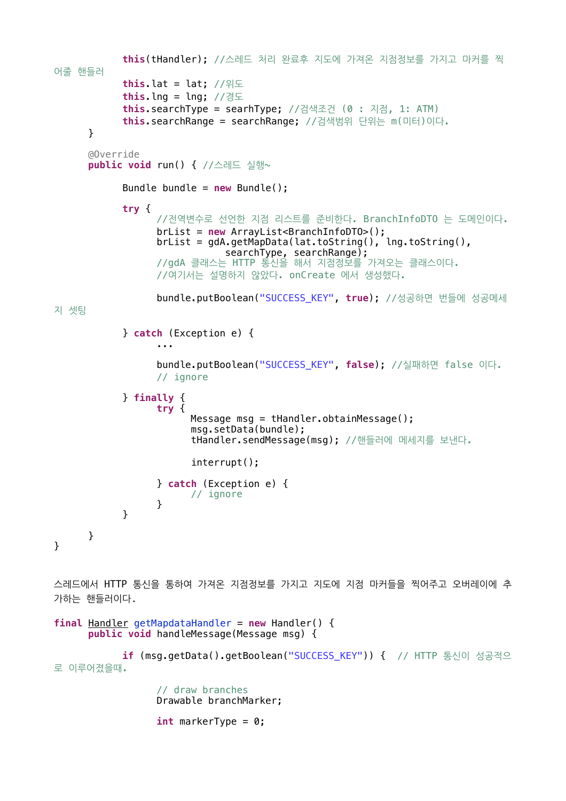```
! ! this(tHandler); //스레드 처리 완료후 지도에 가져온 지점정보를 가지고 마커를 찍
어줄 핸들러
           ! ! this.lat = lat; //위도
           ! ! this.lng = lng; //경도
           ! ! this.searchType = searhType; //검색조건 (0 : 지점, 1: ATM)
           ! ! this.searchRange = searchRange; //검색범위 단위는 m(미터)이다.
     }
     @Override
     public void run() { //스레드 실행~
           Bundle bundle = new Bundle();
           ! ! try {
                //전역변수로 선언한 지점 리스트를 준비한다. BranchInfoDTO 는 도메인이다.
                brList = new ArrayList<BranchInfoDTO>();
                brList = gdA.getMapData(lat.toString(), lng.toString(),
{\sf searchType}, searchRange);
!!! //gdA 클래스는 HTTP 통신을 해서 지점정보를 가져오는 클래스이다.
                //여기서는 설명하지 않았다. onCreate 에서 생성했다.
                !!! bundle.putBoolean("SUCCESS_KEY", true); //성공하면 번들에 성공메세
지 셋팅
           ! ! } catch (Exception e) {
!!! ...
                !!! bundle.putBoolean("SUCCESS_KEY", false); //실패하면 false 이다.
                // ignore
           ! ! } finally {
                !!! try {
                      Message msg = tHandler.obtainMessage();
                      msg.setData(bundle);
                      tHandler.sendMessage(msg); //핸들러에 메세지를 보낸다.
                      \text{interrupt}();
                !!! } catch (Exception e) {
                }<br>}   // ignore
!!! }
! }
     }
}
스레드에서 HTTP 통신을 통하여 가져온 지점정보를 가지고 지도에 지점 마커들을 찍어주고 오버레이에 추
가하는 해들러이다.
final Handler getMapdataHandler = new Handler() {
     public void handleMessage(Message msg) {
           ! ! if (msg.getData().getBoolean("SUCCESS_KEY")) { // HTTP 통신이 성공적으
```

```
로 이루어졌을때.
```
// draw branches Drawable branchMarker;

```
int markerType = 0;
```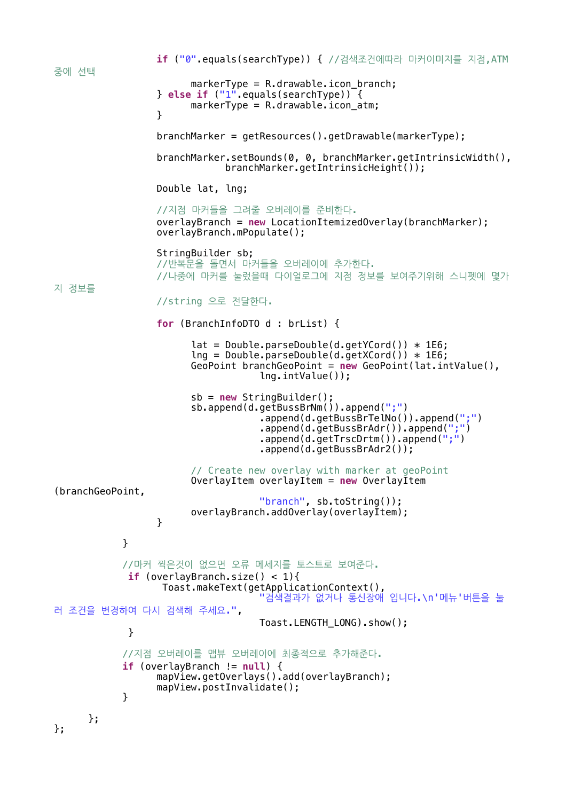!!! **if** ("0".equals(searchType)) { //검색조건에따라 마커이미지를 지점,ATM 중에 선택  $marketType = R.drawable.icon_branch;$  $\}$  **else if** ("1" equals(searchType))  $\left[\frac{1}{2}\right]$ markerType = R.drawable.icon\_atm;<br>} !!! } branchMarker = getResources().getDrawable(markerType); ! ! ! branchMarker.setBounds(0, 0, branchMarker.getIntrinsicWidth(), branchMarker.getIntrinsicHeight()); Double lat, lng; //지점 마커들을 그려줄 오버레이를 준비한다.  $overlayBranch = new LocationItemizedOverlay(branchMarker);$ overlayBranch.mPopulate(); StringBuilder sb; //반복문을 돌면서 마커들을 오버레이에 추가한다. //나중에 마커를 눌렀을때 다이얼로그에 지점 정보를 보여주기위해 스니펫에 몋가 지 정보를 //string 으로 전달한다. !!! **for** (BranchInfoDTO d : brList) {  $lat = Double.parseDouble(d.getYCord()) * 1E6;$  $lnq = Double.parseDouble(d.getXCord()) * 1E6;$ GeoPoint branchGeoPoint = **new** GeoPoint(lat.intValue(), lng.intValue());  $sb = new StringBuilder()$ ; sb.append(d.getBussBrNm()).append(";") .append(d.getBussBrTelNo()).append(";") .append(d.getBussBrAdr()).append(";") .append(d.getTrscDrtm()).append(";") .append(d.getBussBrAdr2()); // Create new overlay with marker at geoPoint OverlayItem overlayItem = **new** OverlayItem (branchGeoPoint, "branch", sb.toString()); !!!! overlayBranch.addOverlay(overlayItem); !!! } ! } //마커 찍은것이 없으면 오류 메세지를 토스트로 보여준다.  $if$  (overlayBranch.size() < 1){ Toast.makeText(getApplicationContext(), "검색결과가 없거나 통신장애 입니다.\n'메뉴'버튼을 눌 러 조건을 변경하여 다시 검색해 주세요.",  $\begin{array}{ccc} \texttt{Toast.LENGTH\_LONG)} \ . \ \texttt{show()} \ ; \ \end{array}$ ! } //지점 오버레이를 맵뷰 오버레이에 최종적으로 추가해준다. if (overlayBranch != null) { mapView.getOverlays().add(overlayBranch);  $\text{mapView.postInvalidate}$  ); ! } }; };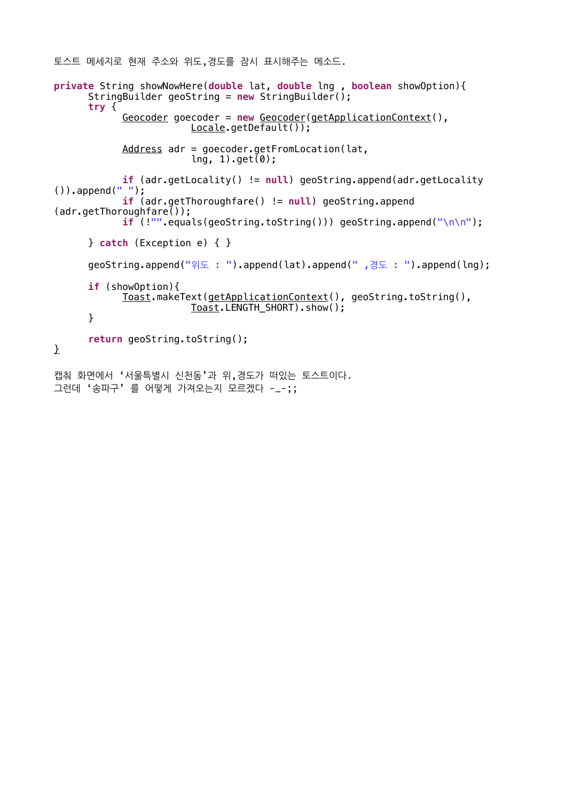```
토스트 메세지로 현재 주소와 위도,경도를 잠시 표시해주는 메소드.
private String showNowHere(double lat, double lng , boolean showOption){
      StringBuilder geoString = new StringBuilder();
      try {
           Geocoder goecoder = new Geocoder(getApplicationContext(),
                       Locale.getDefault();
           Address adr = qoecoder.getFromLocation(lat,\ln q, 1).get(0);
           if (adr.getLocality() != null) geoString.append(adr.getLocality
()).append(" " );
           if (adr.getThoroughfare() != null) geoString.append
(adr.getThoroughfare());
           if<sup>'</sup>(!"".equals(geoString.toString())) geoString.append("\n\n");
      } catch (Exception e) { }
     geoString.append("위도 : ").append(lat).append(" ,경도 : ").append(lng);
      if (showOption){
           Toast.makeText(getApplicationContext(), geoString.toString(),
                       Toast.LENGTH_SHORT).show();
      }
      return geoString.toString();
}
캡춰 화면에서 '서울특별시 신천동'과 위,경도가 떠있는 토스트이다.
```

```
그런데 '송파구' 를 어떻게 가져오는지 모르겠다 -_-;;
```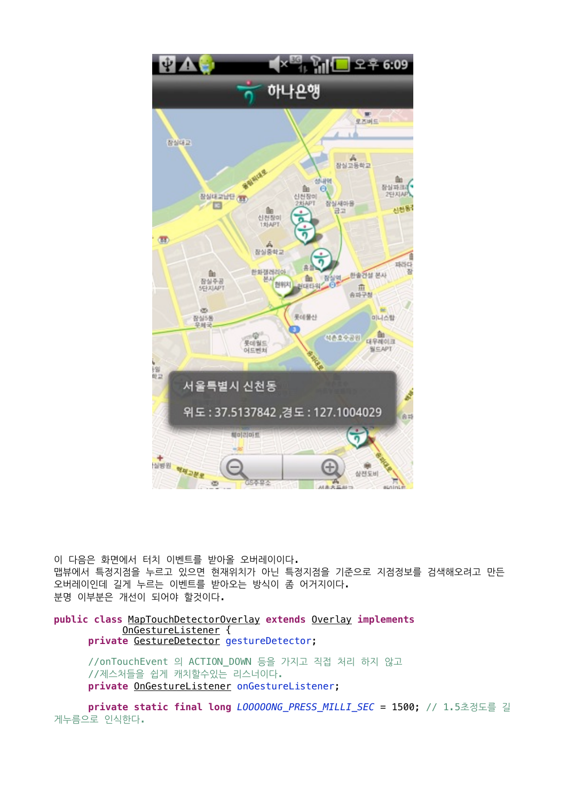

이 다음은 화면에서 터치 이벤트를 받아올 오버레이이다. 맵뷰에서 특정지점을 누르고 있으면 현재위치가 아닌 특정지점을 기준으로 지점정보를 검색해오려고 만든 오버레이인데 길게 누르는 이벤트를 받아오는 방식이 좀 어거지이다. 분명 이부분은 개선이 되어야 할것이다.

**public class** MapTouchDetectorOverlay **extends** Overlay **implements** OnGestureListener { **private** GestureDetector gestureDetector;

//onTouchEvent 의 ACTION\_DOWN 등을 가지고 직접 처리 하지 않고 //제스처들을 쉽게 캐치할수있는 리스너이다. **private** OnGestureListener onGestureListener;

**private static final long** *LOOOOONG\_PRESS\_MILLI\_SEC* = 1500; // 1.5초정도를 길 게누름으로 인식한다.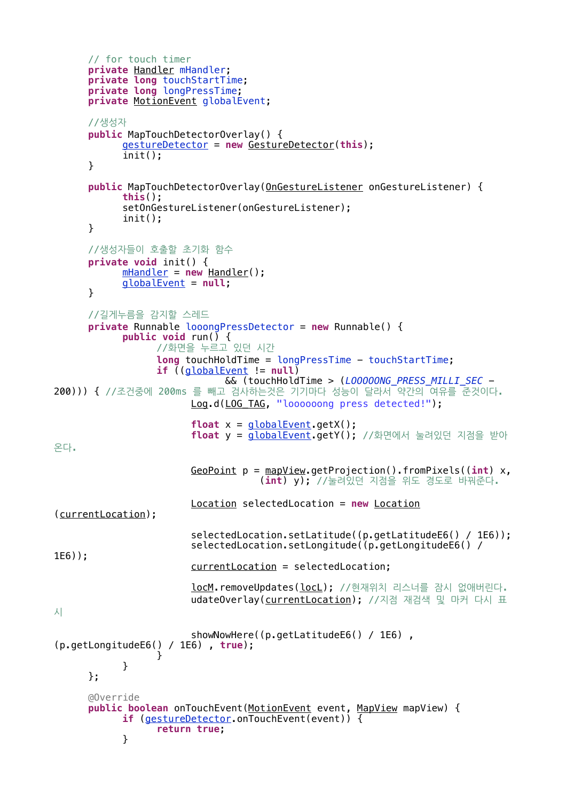```
// for touch timer
      private Handler mHandler;
      private long touchStartTime;
      private long longPressTime;
     private MotionEvent globalEvent;
      //생성자
     public MapTouchDetectorOverlay() {
           ! ! gestureDetector = new GestureDetector(this);
           init();
      }
      public MapTouchDetectorOverlay(OnGestureListener onGestureListener) {
           ! ! this();
           setOnGestureListener(onGestureListener);
           init();
      }
      //생성자들이 호출할 초기화 함수
     private void init() {
           mHandler = new Handler();
           ! ! globalEvent = null;
      }
     //길게누름을 감지할 스레드
     private Runnable looongPressDetector = new Runnable() {
           public void run() {
                 //화면을 누르고 있던 시간
                 long touchHoldTime = longPressTime - touchStartTime;
                 if (qlobalEvent != null!!!!! && (touchHoldTime > (LOOOOONG_PRESS_MILLI_SEC - 
200))) { //조건중에 200ms 를 빼고 검사하는것은 기기마다 성능이 달라서 약간의 여유를 준것이다.
                       Log.d(LOG TAG, "loooooong press detected!");
                       float x = q lobal Event.getX();
                       float y = globalEvent.getY(); //화면에서 눌려있던 지점을 받아
온다.
                       !!!! GeoPoint p = mapView.getProjection().fromPixels((int) x,
                                   (int) y); //눌려있던 지점을 위도 경도로 바꿔준다.
                       Location selectedLocation = new Location
(currentLocation);
                       selectedLocation.setLatitude((p.getLatitudeE6() / 1E6));
                       selectedLocation.setLongitude((p.getLongitudeE6() / 
1E6));
                       currentLocation = selectedLocation;1ocM. removeUpdates(locL); //현재위치 리스너를 잠시 없애버린다.
                       udateOverlay(currentLocation); //지점 재검색 및 마커 다시 표
시
                       showNowHere((p.getLatitudeE6() / 1E6),
(p.getLongitudeE6() / 1E6) , true);
!!! }
! }
     };
     @Override
      public boolean onTouchEvent(MotionEvent event, MapView mapView) {
! ! if (gestureDetector.onTouchEvent(event)) {
                 !!! return true;
! }
```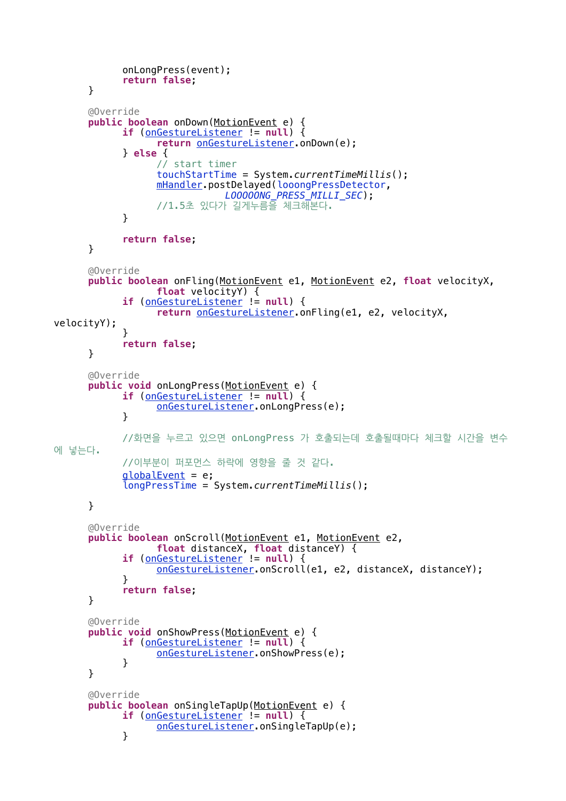```
onLongPress(event);
           ! ! return false;
      }
     @Override
     public boolean onDown(MotionEvent e) {
           ! ! if (onGestureListener != null) {
                 !!! return onGestureListener.onDown(e);
           ! ! } else {
                 // start timer
                 !!! touchStartTime = System.currentTimeMillis();
                 mHandler.postDelayed(looongPressDetector,
                             !!!!! LOOOOONG_PRESS_MILLI_SEC);
                 !!! //1.5초 있다가 길게누름을 체크해본다.
! }
           ! ! return false;
      }
     @Override
     public boolean onFling(MotionEvent e1, MotionEvent e2, float velocityX,
                 float velocityY) {
           ! ! if (onGestureListener != null) {
                 return onGestureListener.onFling(e1, e2, velocityX,
velocityY);
! }
           ! ! return false;
      }
     @Override
     public void onLongPress(MotionEvent e) {
           ! ! if (onGestureListener != null) {
           onGestureListener.onLongPress(e);
! }
           ! ! //화면을 누르고 있으면 onLongPress 가 호출되는데 호출될때마다 체크할 시간을 변수
에 넣는다.
           ! ! //이부분이 퍼포먼스 하락에 영향을 줄 것 같다.
           globalEvent = e;
           longPressTime = System.currentTimeMilis();
      }
     @Override
     public boolean onScroll(MotionEvent e1, MotionEvent e2,
!!! float distanceX, float distanceY) {
! ! if (onGestureListener != null) {
                 onGestureListener.onScroll(e1, e2, distanceX, distanceY);
! }
           ! ! return false;
      }
     @Override
     public void onShowPress(MotionEvent e) {
           ! ! if (onGestureListener != null) {
           onGestureListener.onShowPress(e);<br>}
! }
      }
     @Override
     public boolean onSingleTapUp(MotionEvent e) {
           ! ! if (onGestureListener != null) {
           onGestureListener.onSingleTapUp(e);
! }
```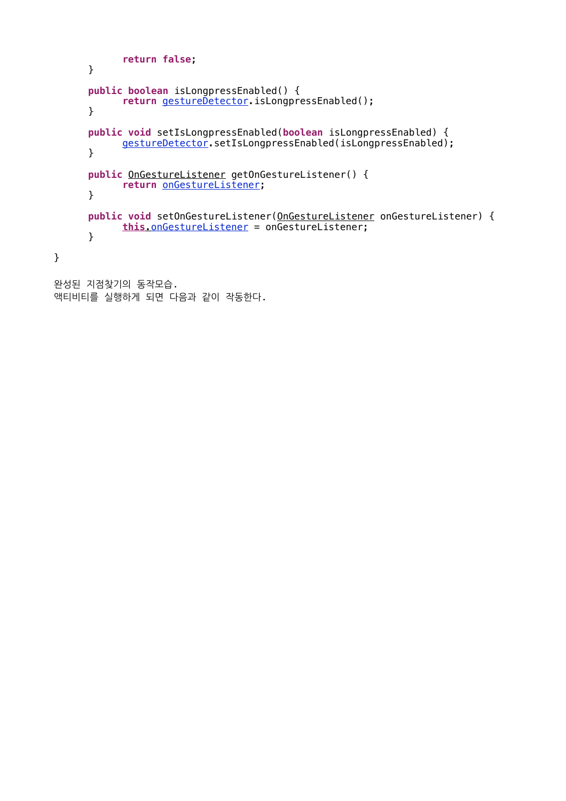```
! ! return false;
}
public boolean isLongpressEnabled() {
      return gestureDetector.isLongpressEnabled();
}
public void setIsLongpressEnabled(boolean isLongpressEnabled) {
      gestureDetector.setIsLongpressEnabled(isLongpressEnabled);
}
public OnGestureListener getOnGestureListener() {
      return onGestureListener;
}
public void setOnGestureListener(OnGestureListener onGestureListener) {
      ! ! this.onGestureListener = onGestureListener;
}
```
완성된 지점찾기의 동작모습. 액티비티를 실행하게 되면 다음과 같이 작동한다.

}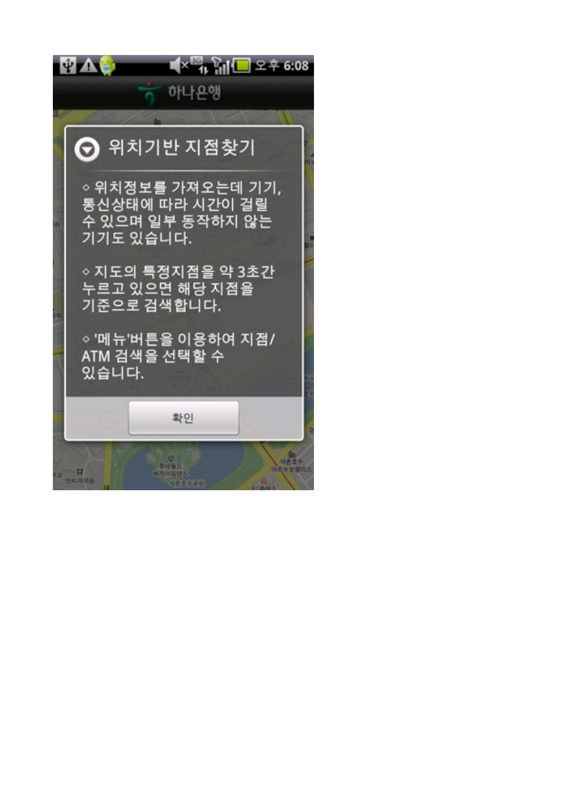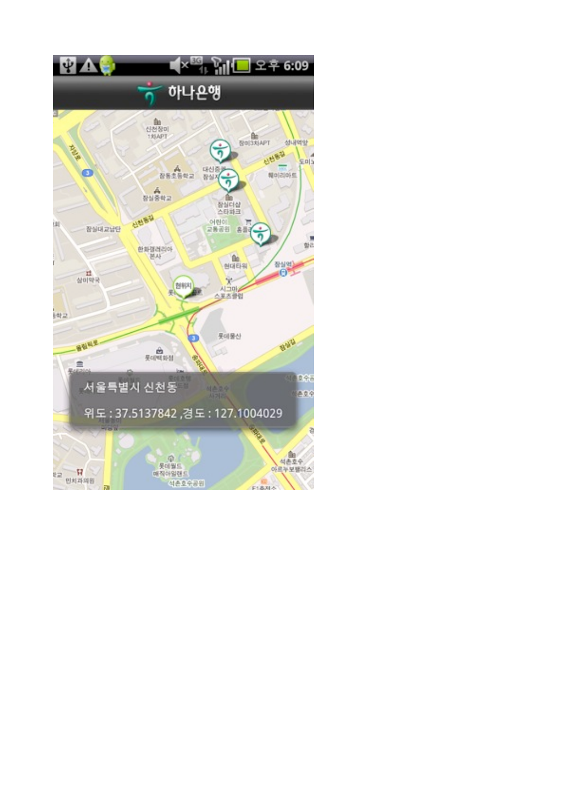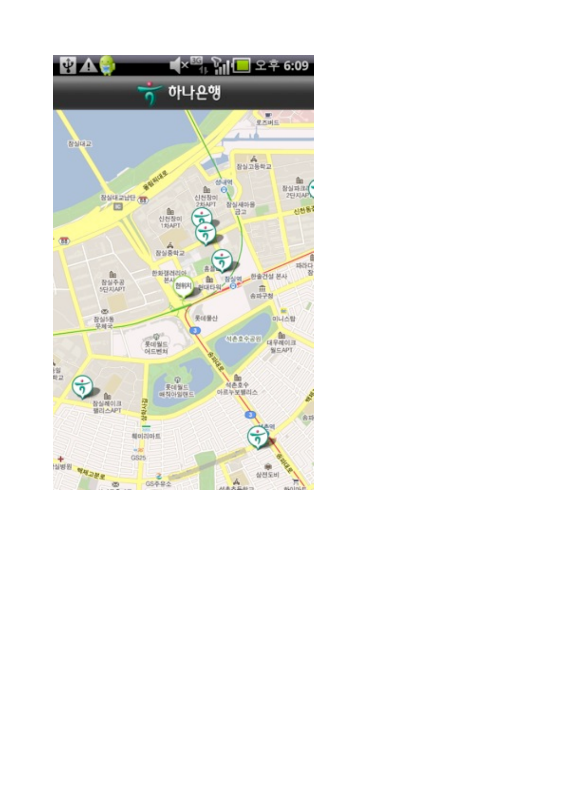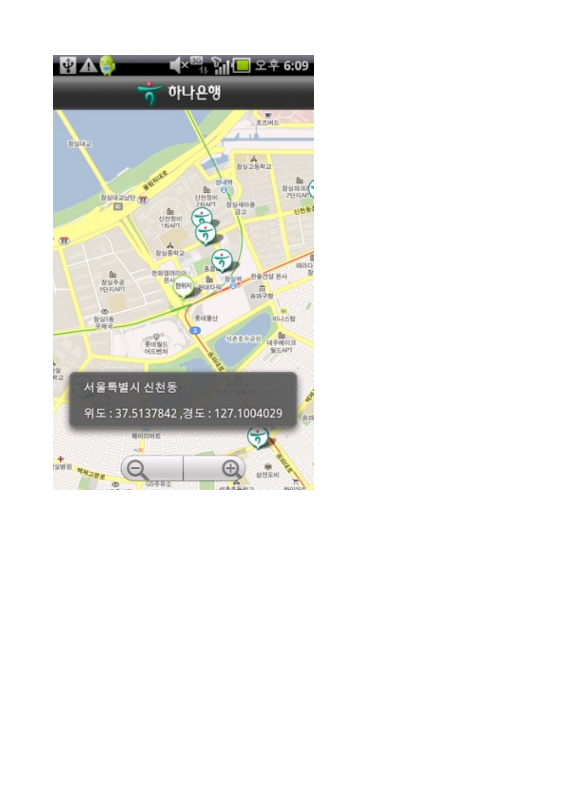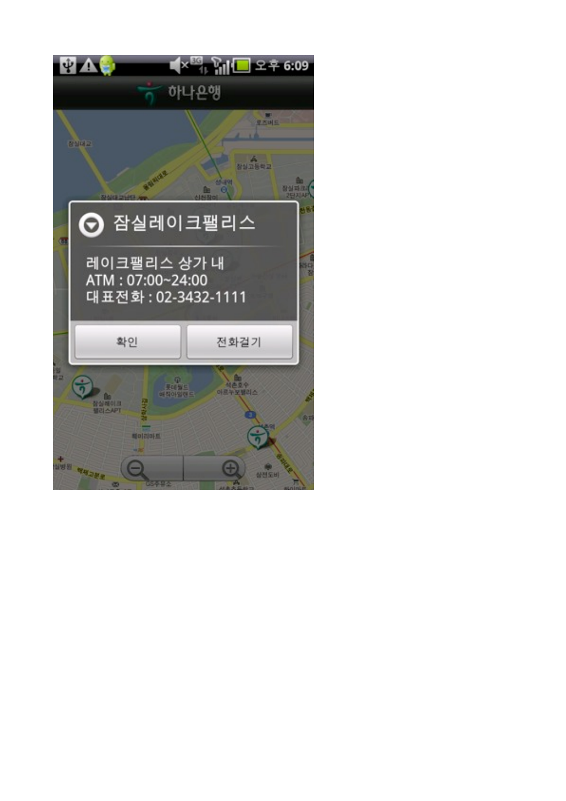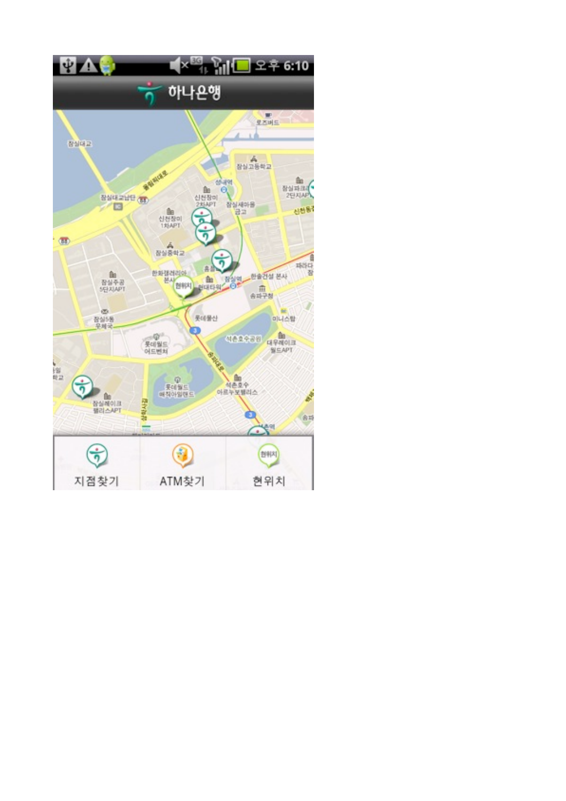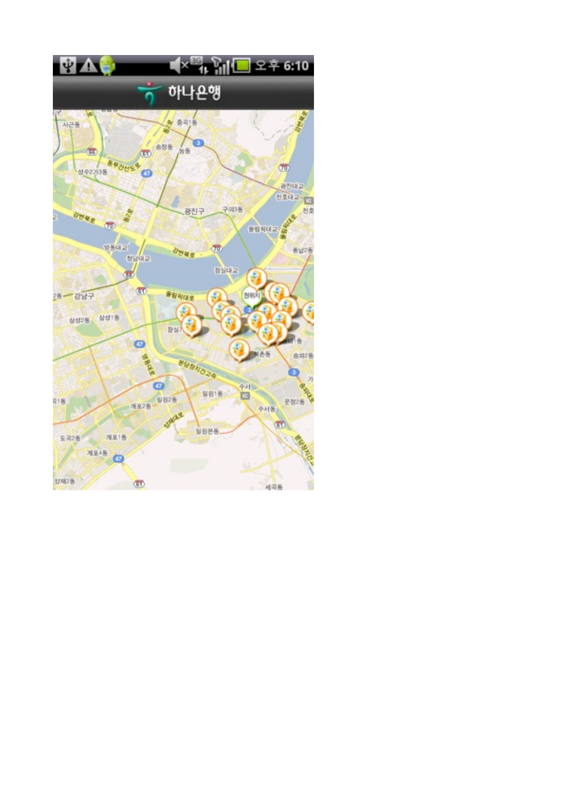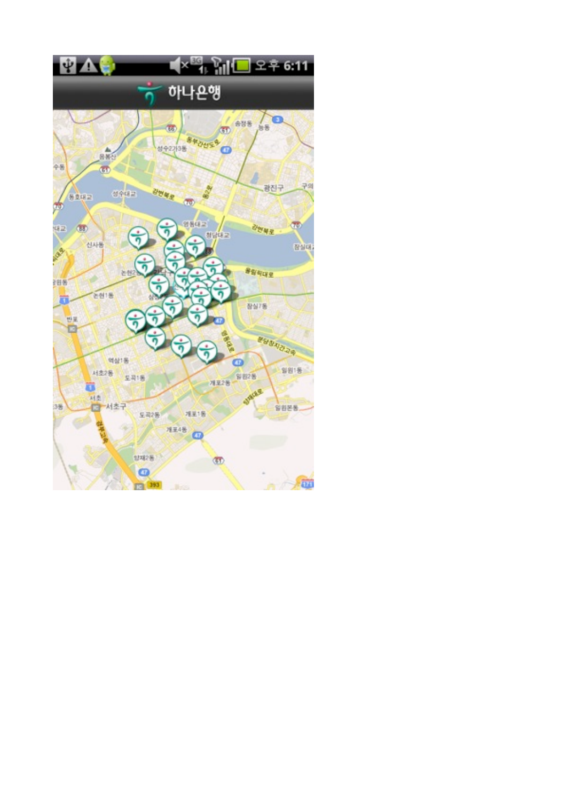